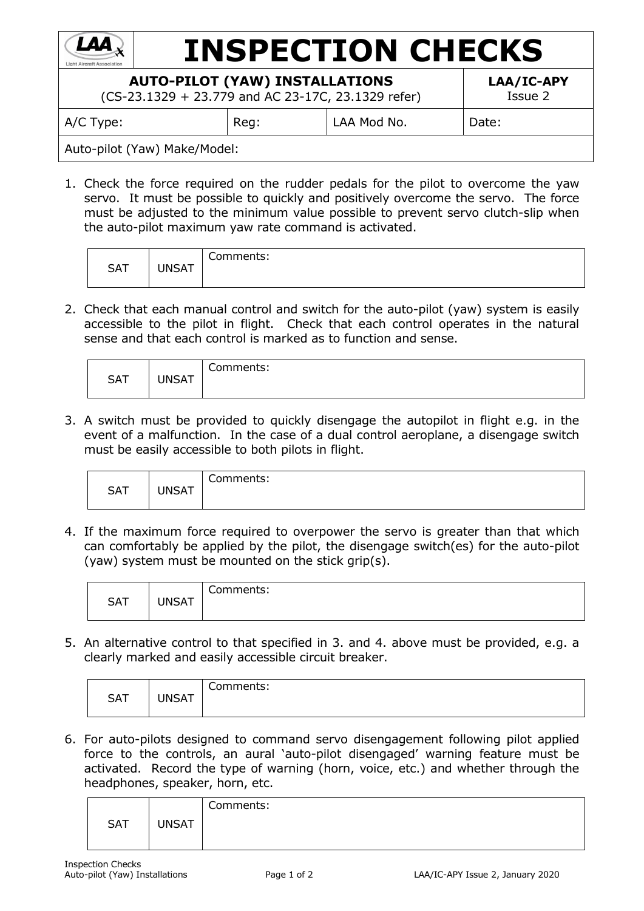

Auto-pilot (Yaw) Make/Model:

1. Check the force required on the rudder pedals for the pilot to overcome the yaw servo. It must be possible to quickly and positively overcome the servo. The force must be adjusted to the minimum value possible to prevent servo clutch-slip when the auto-pilot maximum yaw rate command is activated.

| <b>SAT</b> | <b>UNSAT</b> | Comments: |  |
|------------|--------------|-----------|--|
|------------|--------------|-----------|--|

2. Check that each manual control and switch for the auto-pilot (yaw) system is easily accessible to the pilot in flight. Check that each control operates in the natural sense and that each control is marked as to function and sense.

| <b>SAT</b> | <b>UNSAT</b> | Comments: |
|------------|--------------|-----------|
|------------|--------------|-----------|

3. A switch must be provided to quickly disengage the autopilot in flight e.g. in the event of a malfunction. In the case of a dual control aeroplane, a disengage switch must be easily accessible to both pilots in flight.

| <b>SAT</b> | <b>JNSAT</b> | Comments: |
|------------|--------------|-----------|
|------------|--------------|-----------|

4. If the maximum force required to overpower the servo is greater than that which can comfortably be applied by the pilot, the disengage switch(es) for the auto-pilot (yaw) system must be mounted on the stick grip(s).

| <b>SAT</b> | <b>UNSAT</b> | $\sim$<br>Comments: |
|------------|--------------|---------------------|
|------------|--------------|---------------------|

5. An alternative control to that specified in 3. and 4. above must be provided, e.g. a clearly marked and easily accessible circuit breaker.

| <b>SAT</b> | <b>JNSAT</b> | Comments: |
|------------|--------------|-----------|
|------------|--------------|-----------|

6. For auto-pilots designed to command servo disengagement following pilot applied force to the controls, an aural 'auto-pilot disengaged' warning feature must be activated. Record the type of warning (horn, voice, etc.) and whether through the headphones, speaker, horn, etc.

|            |              | Comments: |
|------------|--------------|-----------|
| <b>SAT</b> | <b>UNSAT</b> |           |
|            |              |           |